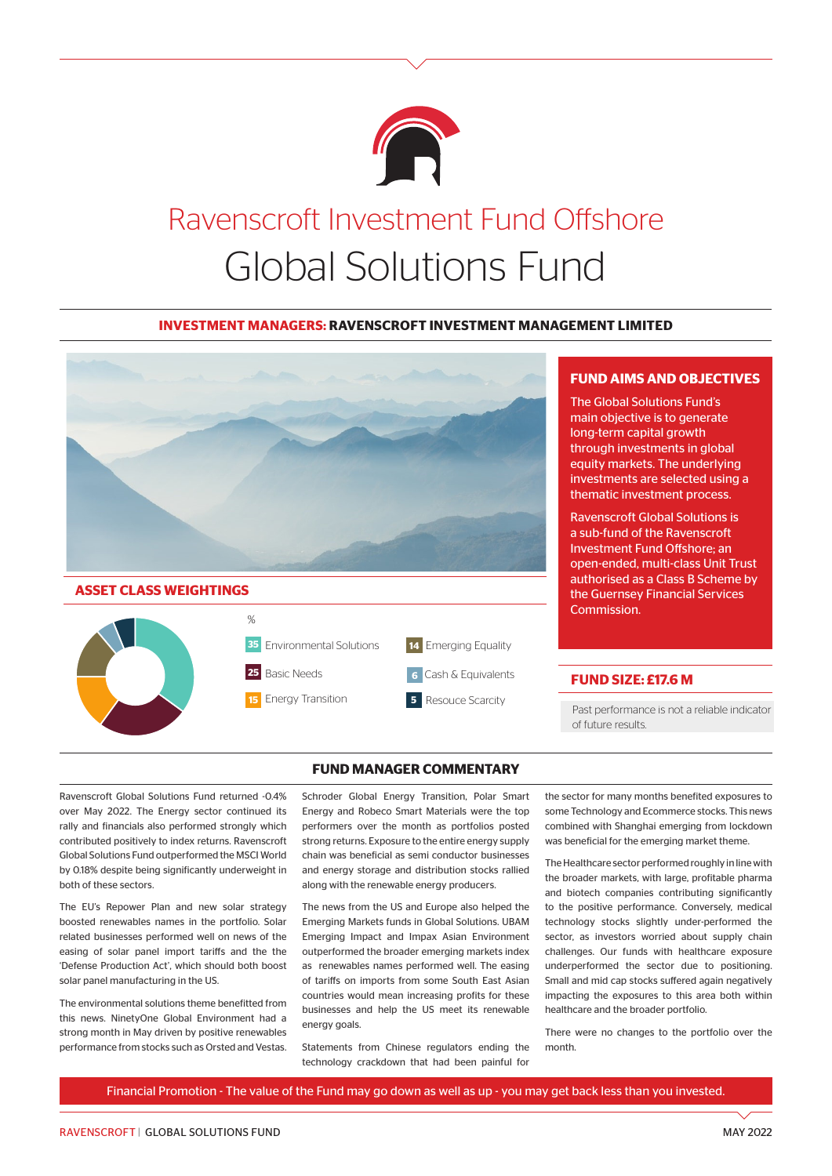

# Ravenscroft Investment Fund Offshore Global Solutions Fund

#### **INVESTMENT MANAGERS: RAVENSCROFT INVESTMENT MANAGEMENT LIMITED**





#### **FUND MANAGER COMMENTARY**

Ravenscroft Global Solutions Fund returned -0.4% over May 2022. The Energy sector continued its rally and financials also performed strongly which contributed positively to index returns. Ravenscroft Global Solutions Fund outperformed the MSCI World by 0.18% despite being significantly underweight in both of these sectors.

The EU's Repower Plan and new solar strategy boosted renewables names in the portfolio. Solar related businesses performed well on news of the easing of solar panel import tariffs and the the 'Defense Production Act', which should both boost solar panel manufacturing in the US.

The environmental solutions theme benefitted from this news. NinetyOne Global Environment had a strong month in May driven by positive renewables performance from stocks such as Orsted and Vestas. Schroder Global Energy Transition, Polar Smart Energy and Robeco Smart Materials were the top performers over the month as portfolios posted strong returns. Exposure to the entire energy supply chain was beneficial as semi conductor businesses and energy storage and distribution stocks rallied along with the renewable energy producers.

The news from the US and Europe also helped the Emerging Markets funds in Global Solutions. UBAM Emerging Impact and Impax Asian Environment outperformed the broader emerging markets index as renewables names performed well. The easing of tariffs on imports from some South East Asian countries would mean increasing profits for these businesses and help the US meet its renewable energy goals.

Statements from Chinese regulators ending the technology crackdown that had been painful for

## **FUND AIMS AND OBJECTIVES**

The Global Solutions Fund's main objective is to generate long-term capital growth through investments in global equity markets. The underlying investments are selected using a thematic investment process.

Ravenscroft Global Solutions is a sub-fund of the Ravenscroft Investment Fund Offshore; an open-ended, multi-class Unit Trust authorised as a Class B Scheme by the Guernsey Financial Services Commission.

#### **FUND SIZE: £17.6 M**

Past performance is not a reliable indicator of future results.

the sector for many months benefited exposures to some Technology and Ecommerce stocks. This news combined with Shanghai emerging from lockdown was beneficial for the emerging market theme.

The Healthcare sector performed roughly in line with the broader markets, with large, profitable pharma and biotech companies contributing significantly to the positive performance. Conversely, medical technology stocks slightly under-performed the sector, as investors worried about supply chain challenges. Our funds with healthcare exposure underperformed the sector due to positioning. Small and mid cap stocks suffered again negatively impacting the exposures to this area both within healthcare and the broader portfolio.

There were no changes to the portfolio over the month.

Financial Promotion - The value of the Fund may go down as well as up - you may get back less than you invested.